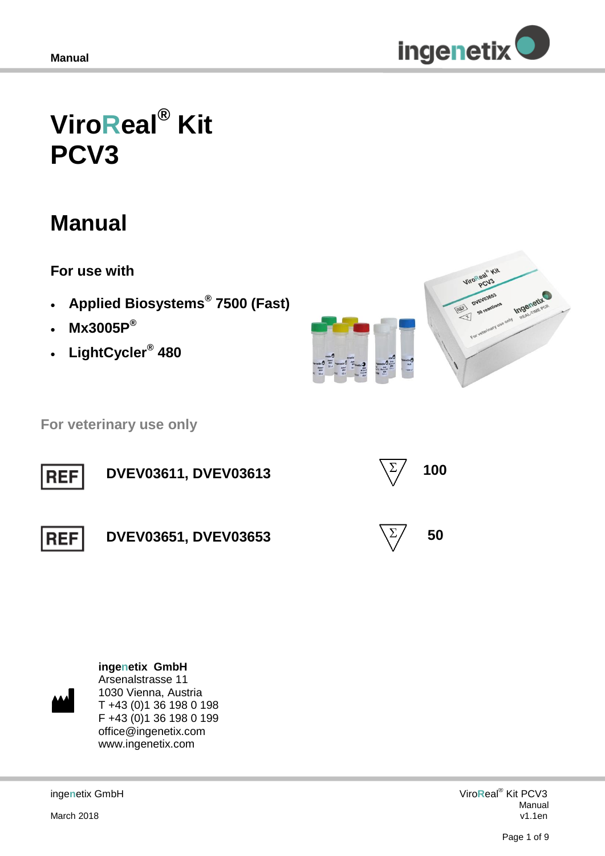

# **ViroReal® Kit PCV3**

## **Manual**

**For use with**

- **Applied Biosystems® 7500 (Fast)**
- **Mx3005P®**
- **LightCycler® 480**



 **For veterinary use only**



**ingenetix GmbH** Arsenalstrasse 11 1030 Vienna, Austria T +43 (0)1 36 198 0 198 F +43 (0)1 36 198 0 199

> office@ingenetix.com www.ingenetix.com

inge**n**etix GmbH

March 2018

Viro**R**eal® Kit PCV3 Manual v1.1en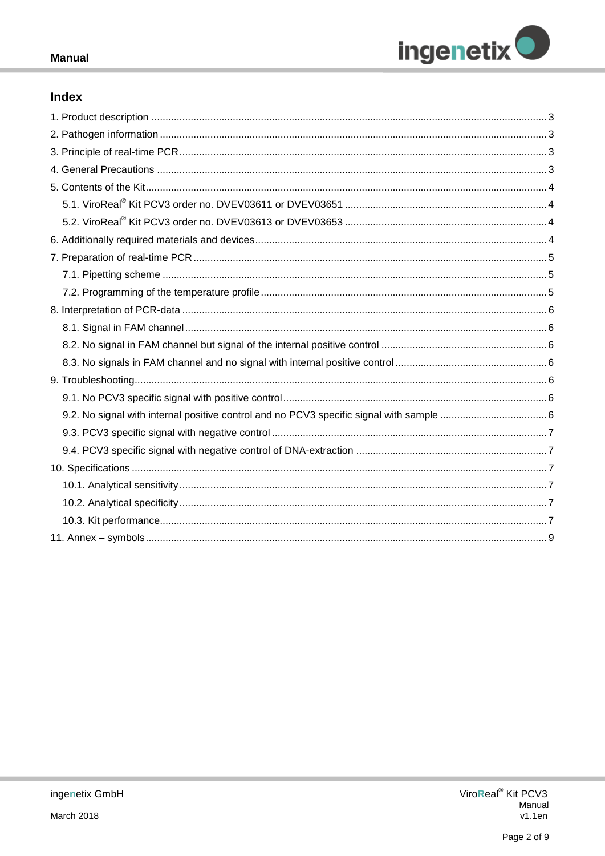

## Index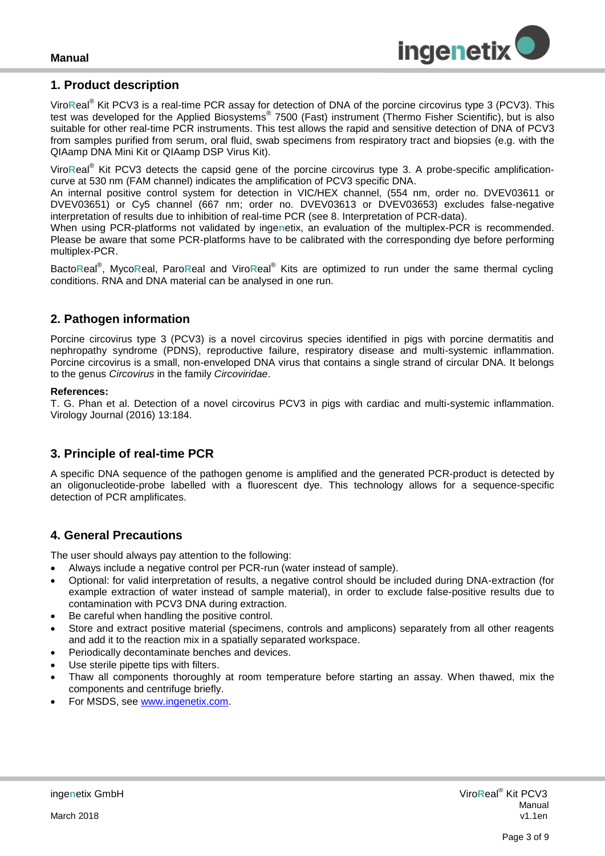

#### <span id="page-2-0"></span>**1. Product description**

Viro**R**eal® Kit PCV3 is a real-time PCR assay for detection of DNA of the porcine circovirus type 3 (PCV3). This test was developed for the Applied Biosystems® 7500 (Fast) instrument (Thermo Fisher Scientific), but is also suitable for other real-time PCR instruments. This test allows the rapid and sensitive detection of DNA of PCV3 from samples purified from serum, oral fluid, swab specimens from respiratory tract and biopsies (e.g. with the QIAamp DNA Mini Kit or QIAamp DSP Virus Kit).

Viro**R**eal® Kit PCV3 detects the capsid gene of the porcine circovirus type 3. A probe-specific amplificationcurve at 530 nm (FAM channel) indicates the amplification of PCV3 specific DNA.

An internal positive control system for detection in VIC/HEX channel, (554 nm, order no. DVEV03611 or DVEV03651) or Cy5 channel (667 nm; order no. DVEV03613 or DVEV03653) excludes false-negative interpretation of results due to inhibition of real-time PCR (see 8. Interpretation of PCR-data).

When using PCR-platforms not validated by inge**n**etix, an evaluation of the multiplex-PCR is recommended. Please be aware that some PCR-platforms have to be calibrated with the corresponding dye before performing multiplex-PCR.

Bacto**R**eal® , Myco**R**eal, Paro**R**eal and Viro**R**eal® Kits are optimized to run under the same thermal cycling conditions. RNA and DNA material can be analysed in one run.

## <span id="page-2-1"></span>**2. Pathogen information**

Porcine circovirus type 3 (PCV3) is a novel circovirus species identified in pigs with porcine dermatitis and nephropathy syndrome (PDNS), reproductive failure, respiratory disease and multi-systemic inflammation. Porcine circovirus is a small, non-enveloped DNA virus that contains a single strand of circular DNA. It belongs to the genus *Circovirus* in the family *Circoviridae*.

#### **References:**

T. G. Phan et al. Detection of a novel circovirus PCV3 in pigs with cardiac and multi-systemic inflammation. Virology Journal (2016) 13:184.

## <span id="page-2-2"></span>**3. Principle of real-time PCR**

A specific DNA sequence of the pathogen genome is amplified and the generated PCR-product is detected by an oligonucleotide-probe labelled with a fluorescent dye. This technology allows for a sequence-specific detection of PCR amplificates.

## <span id="page-2-3"></span>**4. General Precautions**

The user should always pay attention to the following:

- Always include a negative control per PCR-run (water instead of sample).
- Optional: for valid interpretation of results, a negative control should be included during DNA-extraction (for example extraction of water instead of sample material), in order to exclude false-positive results due to contamination with PCV3 DNA during extraction.
- Be careful when handling the positive control.
- Store and extract positive material (specimens, controls and amplicons) separately from all other reagents and add it to the reaction mix in a spatially separated workspace.
- Periodically decontaminate benches and devices.
- Use sterile pipette tips with filters.
- Thaw all components thoroughly at room temperature before starting an assay. When thawed, mix the components and centrifuge briefly.
- For MSDS, see [www.ingenetix.com.](http://www.ingenetix.com/)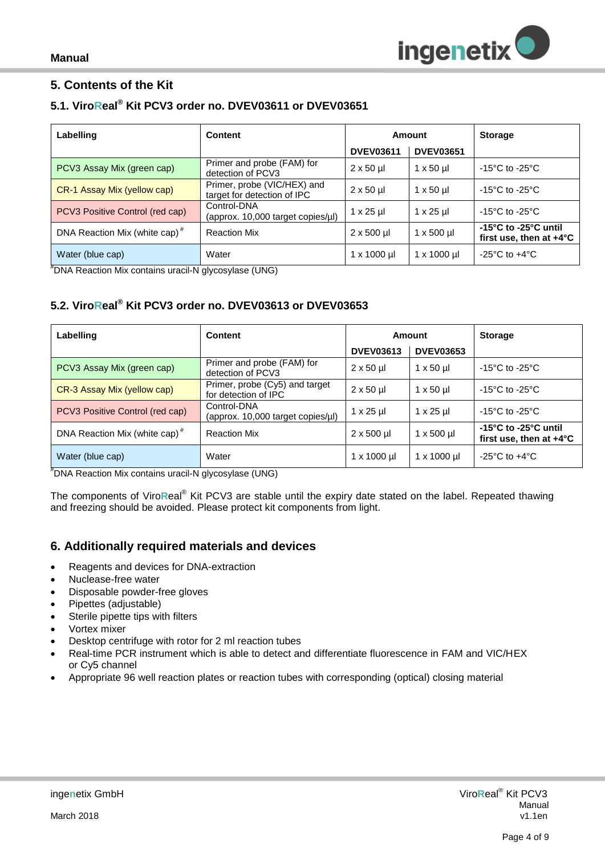## <span id="page-3-0"></span>**5. Contents of the Kit**

## <span id="page-3-1"></span>**5.1. ViroReal® Kit PCV3 order no. DVEV03611 or DVEV03651**

| Labelling                                 | <b>Content</b>                                             | Amount             |                       | <b>Storage</b>                                                                  |
|-------------------------------------------|------------------------------------------------------------|--------------------|-----------------------|---------------------------------------------------------------------------------|
|                                           |                                                            | <b>DVEV03611</b>   | <b>DVEV03651</b>      |                                                                                 |
| PCV3 Assay Mix (green cap)                | Primer and probe (FAM) for<br>detection of PCV3            | $2 \times 50$ µ    | $1 \times 50$ µ       | $-15^{\circ}$ C to $-25^{\circ}$ C                                              |
| CR-1 Assay Mix (yellow cap)               | Primer, probe (VIC/HEX) and<br>target for detection of IPC | $2 \times 50$ µl   | $1 \times 50$ µ       | -15 $^{\circ}$ C to -25 $^{\circ}$ C                                            |
| PCV3 Positive Control (red cap)           | Control-DNA<br>(approx. 10,000 target copies/ul)           | $1 \times 25$ µ    | $1 \times 25$ µl      | $-15^{\circ}$ C to $-25^{\circ}$ C                                              |
| DNA Reaction Mix (white cap) <sup>#</sup> | <b>Reaction Mix</b>                                        | $2 \times 500$ µl  | $1 \times 500$ µl     | -15 $^{\circ}$ C to -25 $^{\circ}$ C until<br>first use, then at $+4^{\circ}$ C |
| Water (blue cap)                          | Water                                                      | $1 \times 1000$ µl | $1 \times 1000 \,\mu$ | $-25^{\circ}$ C to $+4^{\circ}$ C                                               |

#DNA Reaction Mix contains uracil-N glycosylase (UNG)

## <span id="page-3-2"></span>**5.2. ViroReal® Kit PCV3 order no. DVEV03613 or DVEV03653**

| Labelling                                 | <b>Content</b>                                         | Amount              |                         | <b>Storage</b>                                                                  |
|-------------------------------------------|--------------------------------------------------------|---------------------|-------------------------|---------------------------------------------------------------------------------|
|                                           |                                                        | <b>DVEV03613</b>    | <b>DVEV03653</b>        |                                                                                 |
| PCV3 Assay Mix (green cap)                | Primer and probe (FAM) for<br>detection of PCV3        | $2 \times 50$ µ     | $1 \times 50$ µ         | -15 $^{\circ}$ C to -25 $^{\circ}$ C                                            |
| CR-3 Assay Mix (yellow cap)               | Primer, probe (Cy5) and target<br>for detection of IPC | $2 \times 50$ µ     | $1 \times 50 \text{ µ}$ | $-15^{\circ}$ C to $-25^{\circ}$ C                                              |
| PCV3 Positive Control (red cap)           | Control-DNA<br>(approx. 10,000 target copies/µl)       | $1 \times 25$ µl    | $1 \times 25$ µ         | -15 $^{\circ}$ C to -25 $^{\circ}$ C                                            |
| DNA Reaction Mix (white cap) <sup>#</sup> | <b>Reaction Mix</b>                                    | $2 \times 500$ µl   | $1 \times 500$ µl       | -15 $^{\circ}$ C to -25 $^{\circ}$ C until<br>first use, then at $+4^{\circ}$ C |
| Water (blue cap)                          | Water                                                  | $1 \times 1000 \mu$ | $1 \times 1000$ µl      | $-25^{\circ}$ C to $+4^{\circ}$ C                                               |

#DNA Reaction Mix contains uracil-N glycosylase (UNG)

The components of Viro**R**eal® Kit PCV3 are stable until the expiry date stated on the label. Repeated thawing and freezing should be avoided. Please protect kit components from light.

## <span id="page-3-3"></span>**6. Additionally required materials and devices**

- Reagents and devices for DNA-extraction
- Nuclease-free water
- Disposable powder-free gloves
- Pipettes (adjustable)
- Sterile pipette tips with filters
- Vortex mixer
- Desktop centrifuge with rotor for 2 ml reaction tubes
- Real-time PCR instrument which is able to detect and differentiate fluorescence in FAM and VIC/HEX or Cy5 channel
- Appropriate 96 well reaction plates or reaction tubes with corresponding (optical) closing material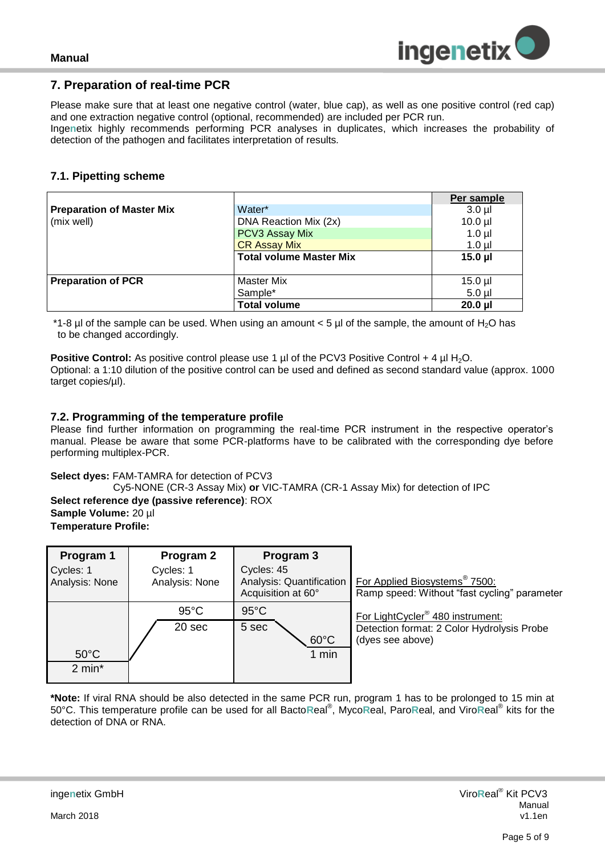

#### <span id="page-4-0"></span>**7. Preparation of real-time PCR**

Please make sure that at least one negative control (water, blue cap), as well as one positive control (red cap) and one extraction negative control (optional, recommended) are included per PCR run. Inge**n**etix highly recommends performing PCR analyses in duplicates, which increases the probability of

detection of the pathogen and facilitates interpretation of results*.*

#### <span id="page-4-1"></span>**7.1. Pipetting scheme**

|                                  |                                | Per sample   |
|----------------------------------|--------------------------------|--------------|
| <b>Preparation of Master Mix</b> | Water*                         | $3.0 \mu$    |
| (mix well)                       | DNA Reaction Mix (2x)          | $10.0$ $\mu$ |
|                                  | PCV3 Assay Mix                 | $1.0$ µl     |
|                                  | <b>CR Assay Mix</b>            | $1.0$ $\mu$  |
|                                  | <b>Total volume Master Mix</b> | $15.0$ $\mu$ |
|                                  |                                |              |
| <b>Preparation of PCR</b>        | <b>Master Mix</b>              | $15.0$ µl    |
|                                  | Sample*                        | $5.0$ ul     |
|                                  | <b>Total volume</b>            | $20.0$ $\mu$ |

 $*1-8$  ul of the sample can be used. When using an amount  $< 5$  ul of the sample, the amount of H<sub>2</sub>O has to be changed accordingly.

**Positive Control:** As positive control please use 1 µl of the PCV3 Positive Control + 4 µl H<sub>2</sub>O. Optional: a 1:10 dilution of the positive control can be used and defined as second standard value (approx. 1000 target copies/µl).

#### <span id="page-4-2"></span>**7.2. Programming of the temperature profile**

Please find further information on programming the real-time PCR instrument in the respective operator's manual. Please be aware that some PCR-platforms have to be calibrated with the corresponding dye before performing multiplex-PCR.

#### **Select dyes:** FAM-TAMRA for detection of PCV3

Cy5-NONE (CR-3 Assay Mix) **or** VIC-TAMRA (CR-1 Assay Mix) for detection of IPC **Select reference dye (passive reference)**: ROX **Sample Volume:** 20 µl **Temperature Profile:** 

| Program 1<br>Cycles: 1<br>Analysis: None | Program 2<br>Cycles: 1<br>Analysis: None | Program 3<br>Cycles: 45<br>Analysis: Quantification<br>Acquisition at 60° | For Applied Biosystems <sup>®</sup> 7500:<br>Ramp speed: Without "fast cycling" parameter                      |
|------------------------------------------|------------------------------------------|---------------------------------------------------------------------------|----------------------------------------------------------------------------------------------------------------|
| $50^{\circ}$ C<br>$2 \text{ min}^*$      | $95^{\circ}$ C<br>20 sec                 | $95^{\circ}$ C<br>5 sec<br>$60^{\circ}$ C<br>1 min                        | For LightCycler <sup>®</sup> 480 instrument:<br>Detection format: 2 Color Hydrolysis Probe<br>(dyes see above) |

**\*Note:** If viral RNA should be also detected in the same PCR run, program 1 has to be prolonged to 15 min at 50°C. This temperature profile can be used for all Bacto**R**eal® , Myco**R**eal, Paro**R**eal, and Viro**R**eal® kits for the detection of DNA or RNA.

March 2018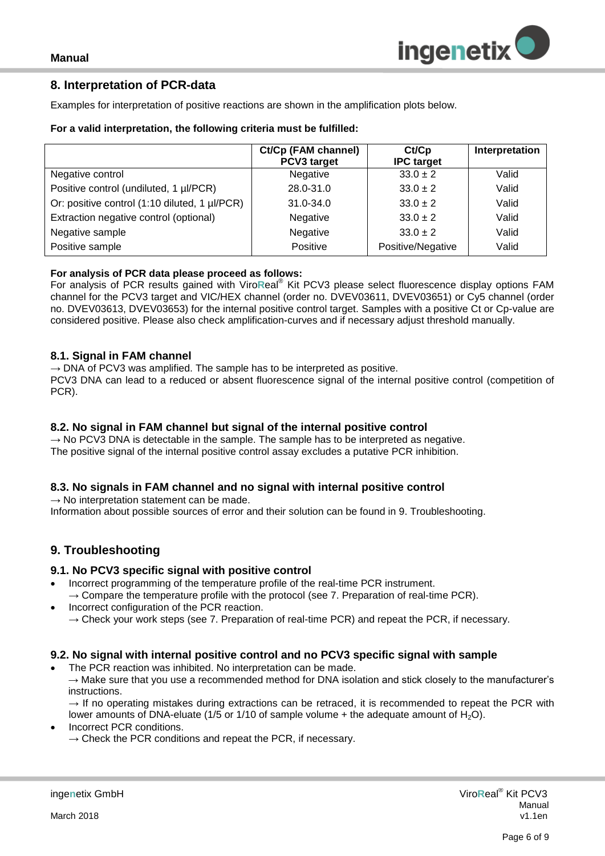#### <span id="page-5-0"></span>**8. Interpretation of PCR-data**

Examples for interpretation of positive reactions are shown in the amplification plots below.

#### **For a valid interpretation, the following criteria must be fulfilled:**

|                                               | Ct/Cp (FAM channel)<br>PCV3 target | Ct/Cp<br><b>IPC</b> target | Interpretation |
|-----------------------------------------------|------------------------------------|----------------------------|----------------|
| Negative control                              | Negative                           | $33.0 \pm 2$               | Valid          |
| Positive control (undiluted, 1 µl/PCR)        | 28.0-31.0                          | $33.0 \pm 2$               | Valid          |
| Or: positive control (1:10 diluted, 1 µl/PCR) | $31.0 - 34.0$                      | $33.0 \pm 2$               | Valid          |
| Extraction negative control (optional)        | Negative                           | $33.0 \pm 2$               | Valid          |
| Negative sample                               | Negative                           | $33.0 \pm 2$               | Valid          |
| Positive sample                               | Positive                           | Positive/Negative          | Valid          |

#### **For analysis of PCR data please proceed as follows:**

For analysis of PCR results gained with Viro**R**eal® Kit PCV3 please select fluorescence display options FAM channel for the PCV3 target and VIC/HEX channel (order no. DVEV03611, DVEV03651) or Cy5 channel (order no. DVEV03613, DVEV03653) for the internal positive control target. Samples with a positive Ct or Cp-value are considered positive. Please also check amplification-curves and if necessary adjust threshold manually.

#### <span id="page-5-1"></span>**8.1. Signal in FAM channel**

 $\rightarrow$  DNA of PCV3 was amplified. The sample has to be interpreted as positive. PCV3 DNA can lead to a reduced or absent fluorescence signal of the internal positive control (competition of PCR).

#### <span id="page-5-2"></span>**8.2. No signal in FAM channel but signal of the internal positive control**

 $\rightarrow$  No PCV3 DNA is detectable in the sample. The sample has to be interpreted as negative. The positive signal of the internal positive control assay excludes a putative PCR inhibition.

#### <span id="page-5-3"></span>**8.3. No signals in FAM channel and no signal with internal positive control**

 $\rightarrow$  No interpretation statement can be made.

Information about possible sources of error and their solution can be found in 9. Troubleshooting.

## <span id="page-5-4"></span>**9. Troubleshooting**

#### <span id="page-5-5"></span>**9.1. No PCV3 specific signal with positive control**

- Incorrect programming of the temperature profile of the real-time PCR instrument.  $\rightarrow$  Compare the temperature profile with the protocol (see 7. Preparation of real-time PCR).
- Incorrect configuration of the PCR reaction.  $\rightarrow$  Check your work steps (see 7. Preparation of real-time PCR) and repeat the PCR, if necessary.

#### <span id="page-5-6"></span>**9.2. No signal with internal positive control and no PCV3 specific signal with sample**

The PCR reaction was inhibited. No interpretation can be made.

 $\rightarrow$  Make sure that you use a recommended method for DNA isolation and stick closely to the manufacturer's instructions.

 $\rightarrow$  If no operating mistakes during extractions can be retraced, it is recommended to repeat the PCR with lower amounts of DNA-eluate (1/5 or 1/10 of sample volume  $+$  the adequate amount of H<sub>2</sub>O).

- Incorrect PCR conditions.
	- $\rightarrow$  Check the PCR conditions and repeat the PCR, if necessary.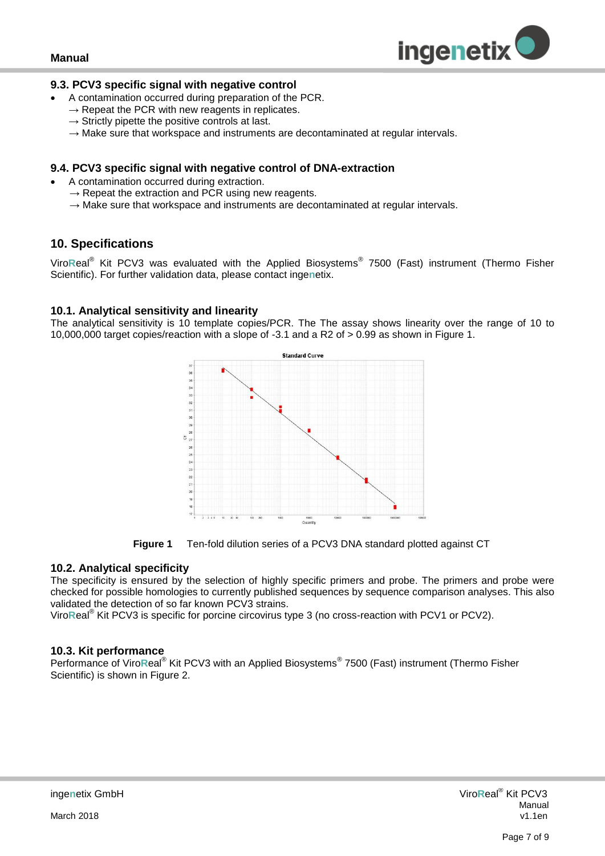

#### <span id="page-6-0"></span>**9.3. PCV3 specific signal with negative control**

- A contamination occurred during preparation of the PCR.
- $\rightarrow$  Repeat the PCR with new reagents in replicates.
- $\rightarrow$  Strictly pipette the positive controls at last.
- $\rightarrow$  Make sure that workspace and instruments are decontaminated at regular intervals.

#### <span id="page-6-1"></span>**9.4. PCV3 specific signal with negative control of DNA-extraction**

- A contamination occurred during extraction.
	- $\rightarrow$  Repeat the extraction and PCR using new reagents.
	- $\rightarrow$  Make sure that workspace and instruments are decontaminated at regular intervals.

## <span id="page-6-2"></span>**10. Specifications**

Viro**R**eal® Kit PCV3 was evaluated with the Applied Biosystems® 7500 (Fast) instrument (Thermo Fisher Scientific). For further validation data, please contact inge**n**etix.

#### <span id="page-6-3"></span>**10.1. Analytical sensitivity and linearity**

The analytical sensitivity is 10 template copies/PCR. The The assay shows linearity over the range of 10 to 10,000,000 target copies/reaction with a slope of -3.1 and a R2 of > 0.99 as shown in Figure 1.





#### <span id="page-6-4"></span>**10.2. Analytical specificity**

The specificity is ensured by the selection of highly specific primers and probe. The primers and probe were checked for possible homologies to currently published sequences by sequence comparison analyses. This also validated the detection of so far known PCV3 strains.

Viro**R**eal® Kit PCV3 is specific for porcine circovirus type 3 (no cross-reaction with PCV1 or PCV2).

#### <span id="page-6-5"></span>**10.3. Kit performance**

Performance of ViroReal<sup>®</sup> Kit PCV3 with an Applied Biosystems<sup>®</sup> 7500 (Fast) instrument (Thermo Fisher Scientific) is shown in Figure 2.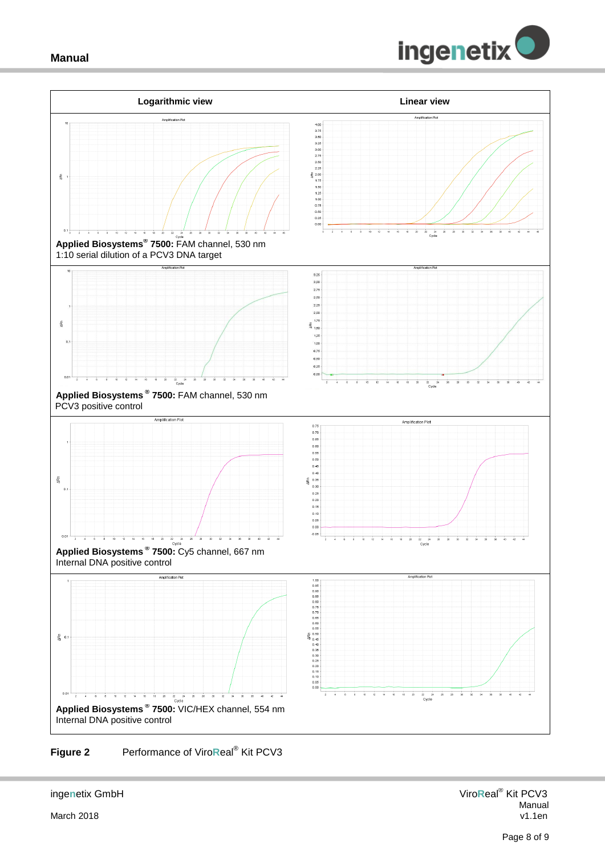



#### **Figure 2** Performance of Viro**R**eal® Kit PCV3